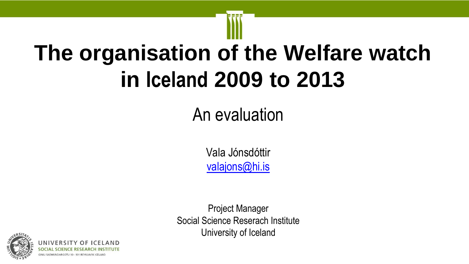# **The organisation of the Welfare watch in Iceland 2009 to 2013**

## An evaluation

Vala Jónsdóttir [valajons@hi.is](mailto:valajons@hi.is)

Project Manager Social Science Reserach Institute University of Iceland

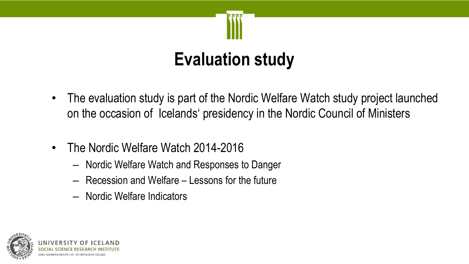

# **Evaluation study**

- The evaluation study is part of the Nordic Welfare Watch study project launched on the occasion of Icelands' presidency in the Nordic Council of Ministers
- The Nordic Welfare Watch 2014-2016
	- Nordic Welfare Watch and Responses to Danger
	- Recession and Welfare Lessons for the future
	- Nordic Welfare Indicators

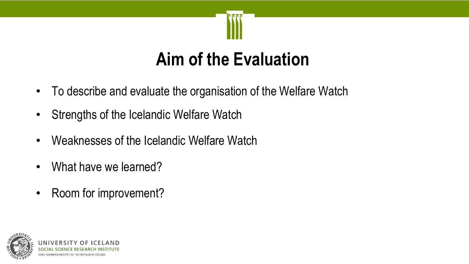

#### **Aim of the Evaluation**

- To describe and evaluate the organisation of the Welfare Watch
- Strengths of the Icelandic Welfare Watch
- Weaknesses of the Icelandic Welfare Watch
- What have we learned?
- Room for improvement?

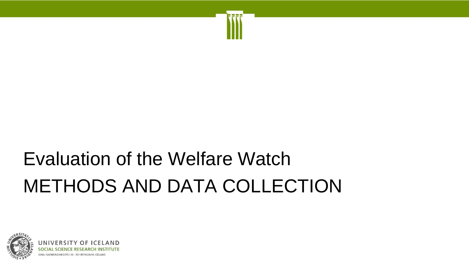# Evaluation of the Welfare Watch METHODS AND DATA COLLECTION

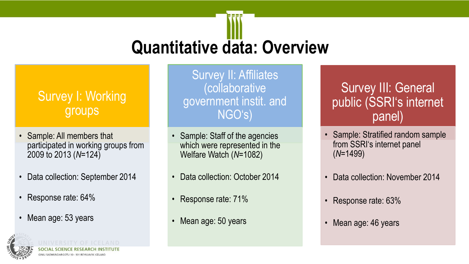# **Quantitative data: Overview**

#### Survey I: Working groups

- Sample: All members that participated in working groups from 2009 to 2013 (*N*=124)
- Data collection: September 2014
- Response rate: 64%
- Mean age: 53 years



Survey II: Affiliates (collaborative government instit. and NGO's)

- Sample: Staff of the agencies which were represented in the Welfare Watch (*N*=1082)
- Data collection: October 2014
- Response rate: 71%
- Mean age: 50 years

#### Survey III: General public (SSRI's internet panel)

- Sample: Stratified random sample from SSRI's internet panel (*N*=1499)
- Data collection: November 2014
- Response rate: 63%
- Mean age: 46 years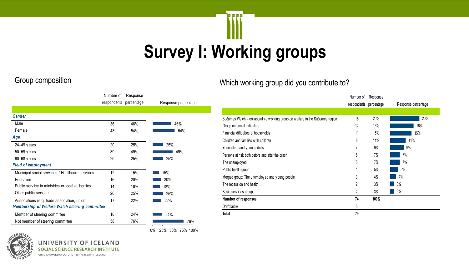# **Survey I: Working groups**

|                                                       | Number of   | Response   |                     |
|-------------------------------------------------------|-------------|------------|---------------------|
|                                                       | respondents | percentage | Response percentage |
|                                                       |             |            |                     |
| <b>Gender</b>                                         |             |            |                     |
| Male                                                  | 36          | 46%        | 46%                 |
| Female                                                | 43          | 54%        | 54%                 |
| Age                                                   |             |            |                     |
| 24-49 years                                           | 20          | 25%        | 25%                 |
| 50-59 years                                           | 39          | 49%        | 49%                 |
| 60-68 years                                           | 20          | 25%        | 25%                 |
| <b>Field of employment</b>                            |             |            |                     |
| Municipal social services / Healthcare services       | 12          | 15%        | 15%                 |
| Education                                             | 16          | 20%        | 20%                 |
| Public service in ministries or local authorities     | 14          | 18%        | 18%                 |
| Other public services                                 | 20          | 25%        | 25%                 |
| Associations (e.g. trade association, union)          | 17          | 22%        | 22%                 |
| <b>Membership of Welfare Watch steering committee</b> |             |            |                     |
| Member of steering committee                          | 18          | 24%        | 24%                 |
| Not member of steering committee                      | 58          | 76%        | 76%                 |

0% 25% 50% 75% 100%

#### Group composition Which working group did you contribute to?

|                                                                                 | Number of      | Response   |                     |
|---------------------------------------------------------------------------------|----------------|------------|---------------------|
|                                                                                 | respondents    | percentage | Response percentage |
|                                                                                 |                |            |                     |
| Suðurnes Watch - collaborative w orking group on welfare in the Suðurnes region | 15             | 20%        | 20%                 |
| Group on social indicators                                                      | 12             | 16%        | 16%                 |
| Financial difficulties of households                                            | 11             | 15%        | 15%                 |
| Children and families with children                                             | 8              | 11%        | 11%                 |
| Youngsters and young adults                                                     | 7              | 9%         | 9%                  |
| Persons at risk both before and after the crash                                 | 5              | 7%         | 7%                  |
| The unemployed                                                                  | 5              | 7%         | 7%                  |
| Public health group                                                             | 4              | 5%         | 5%                  |
| Merged group: The unemployed and young people                                   | 3              | 4%         | 4%                  |
| The recession and health                                                        | $\overline{2}$ | 3%         | 3%                  |
| Basic services group                                                            | 2              | 3%         | 3%                  |
| Number of responses                                                             | 74             | 100%       |                     |
| Don't know                                                                      | 5              |            |                     |
| Total                                                                           | 79             |            |                     |



UNIVERSITY OF I  $AMD$ **SOCIAL SCIENCE RES TITUTE** GIMLI SAEMUNDARGOTU 10 - 101 REYKJAVIK ICELAND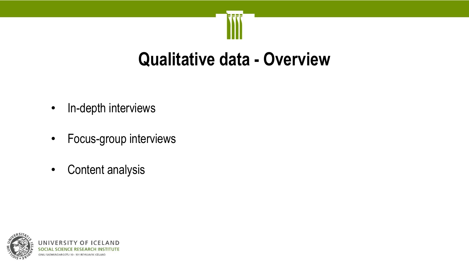#### **Qualitative data - Overview**

- In-depth interviews
- Focus-group interviews
- Content analysis

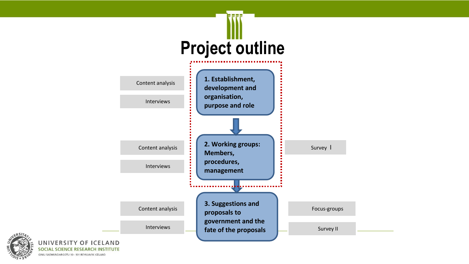

GIMLI SAEMUNDARGOTU 10 - 101 REYKJAVIK ICELAND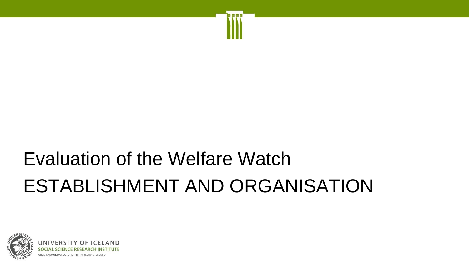# Evaluation of the Welfare Watch ESTABLISHMENT AND ORGANISATION

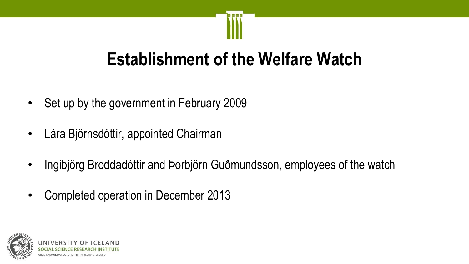#### **Establishment of the Welfare Watch**

- Set up by the government in February 2009
- Lára Björnsdóttir, appointed Chairman
- Ingibjörg Broddadóttir and Þorbjörn Guðmundsson, employees of the watch
- Completed operation in December 2013

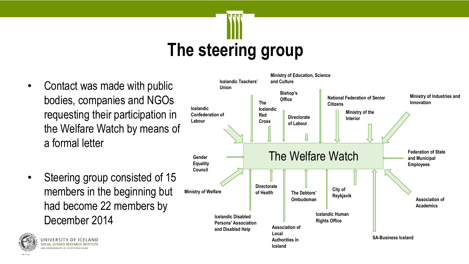# **The steering group**

- Contact was made with public bodies, companies and NGOs requesting their participation in the Welfare Watch by means of a formal letter
- Steering group consisted of 15 members in the beginning but had become 22 members by December 2014





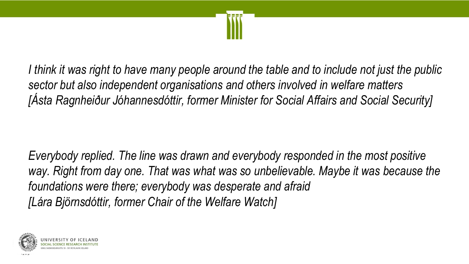

*I think it was right to have many people around the table and to include not just the public sector but also independent organisations and others involved in welfare matters [Ásta Ragnheiður Jóhannesdóttir, former Minister for Social Affairs and Social Security]*

*Everybody replied. The line was drawn and everybody responded in the most positive*  way. Right from day one. That was what was so unbelievable. Maybe it was because the *foundations were there; everybody was desperate and afraid [Lára Björnsdóttir, former Chair of the Welfare Watch]*

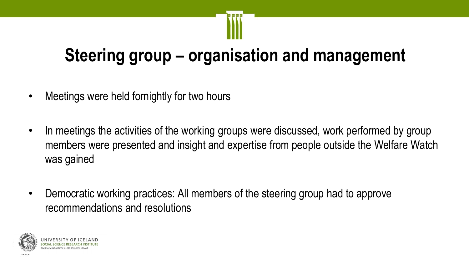# **Steering group – organisation and management**

- Meetings were held fornightly for two hours
- In meetings the activities of the working groups were discussed, work performed by group members were presented and insight and expertise from people outside the Welfare Watch was gained
- Democratic working practices: All members of the steering group had to approve recommendations and resolutions

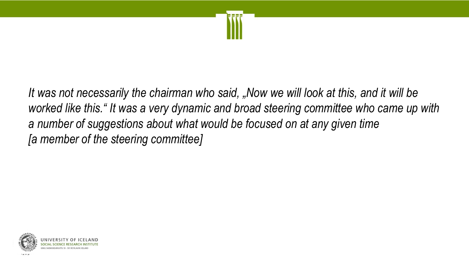

*It was not necessarily the chairman who said, "Now we will look at this, and it will be worked like this." It was a very dynamic and broad steering committee who came up with a number of suggestions about what would be focused on at any given time [a member of the steering committee]*

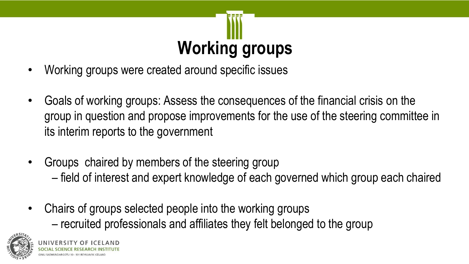# **Working groups**

- Working groups were created around specific issues
- Goals of working groups: Assess the consequences of the financial crisis on the group in question and propose improvements for the use of the steering committee in its interim reports to the government
- Groups chaired by members of the steering group – field of interest and expert knowledge of each governed which group each chaired
- Chairs of groups selected people into the working groups
	- recruited professionals and affiliates they felt belonged to the group

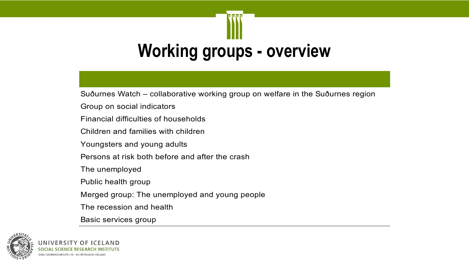# **Working groups - overview**

Suðurnes Watch – collaborative working group on welfare in the Suðurnes region

Group on social indicators

Financial difficulties of households

Children and families with children

Youngsters and young adults

Persons at risk both before and after the crash

The unemployed

Public health group

Merged group: The unemployed and young people

The recession and health

Basic services group

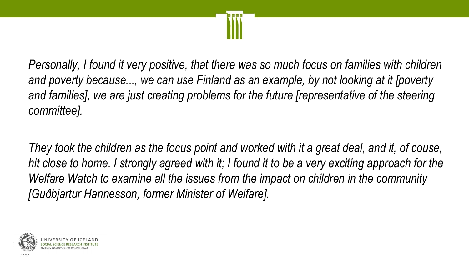

*Personally, I found it very positive, that there was so much focus on families with children and poverty because..., we can use Finland as an example, by not looking at it [poverty*  and families], we are just creating problems for the future *[representative of the steering committee].* 

*They took the children as the focus point and worked with it a great deal, and it, of couse, hit close to home. I strongly agreed with it; I found it to be a very exciting approach for the Welfare Watch to examine all the issues from the impact on children in the community [Guðbjartur Hannesson, former Minister of Welfare].*

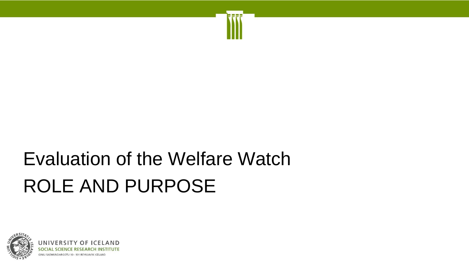# Evaluation of the Welfare Watch ROLE AND PURPOSE

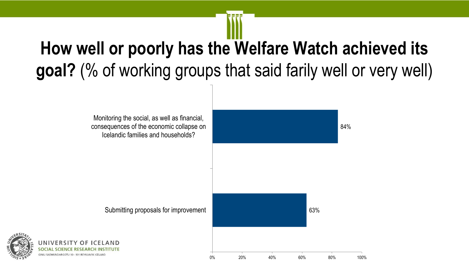# **How well or poorly has the Welfare Watch achieved its goal?** (% of working groups that said farily well or very well)

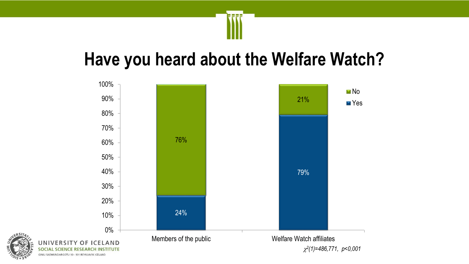#### **Have you heard about the Welfare Watch?**

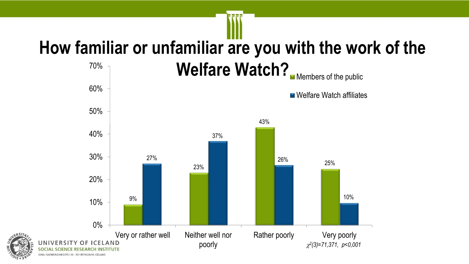# **How familiar or unfamiliar are you with the work of the**



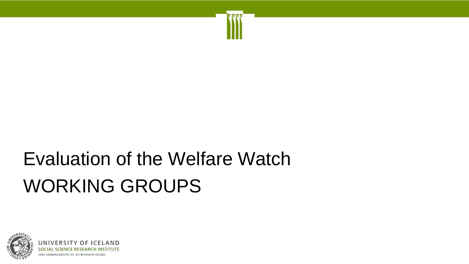# Evaluation of the Welfare Watch WORKING GROUPS

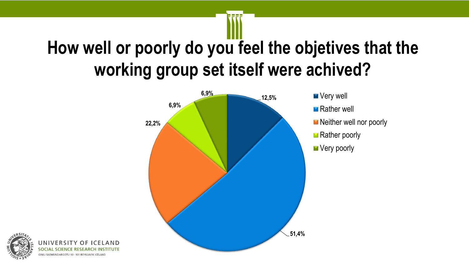# **How well or poorly do you feel the objetives that the working group set itself were achived?**



- 
- **Rather well**
- Neither well nor poorly
- Rather poorly
- Very poorly

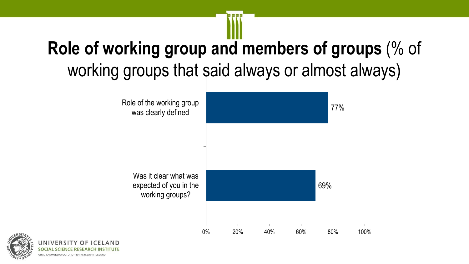# **Role of working group and members of groups** (% of working groups that said always or almost always)



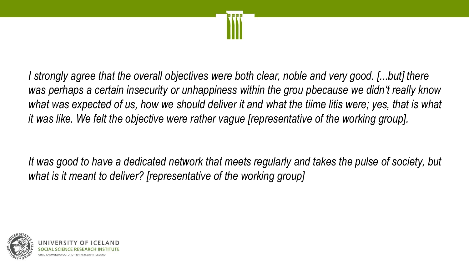

*I* strongly agree that the overall objectives were both clear, noble and very good. [...but] there *was perhaps a certain insecurity or unhappiness within the grou pbecause we didn't really know*  what was expected of us, how we should deliver it and what the tiime litis were; yes, that is what *it was like. We felt the objective were rather vague [representative of the working group].* 

*It was good to have a dedicated network that meets regularly and takes the pulse of society, but what is it meant to deliver? [representative of the working group]*

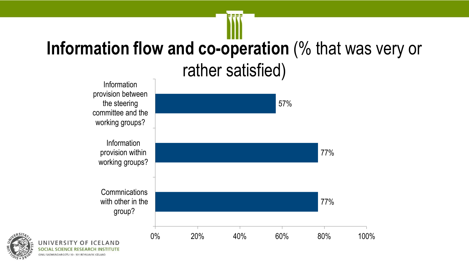# **Information flow and co-operation** (% that was very or rather satisfied)





**JNIVERSITY** 

**GIMLI SAEMUNDARGOTU 10 - 101 REYKJAVIK ICELAN** 

**OCIAL**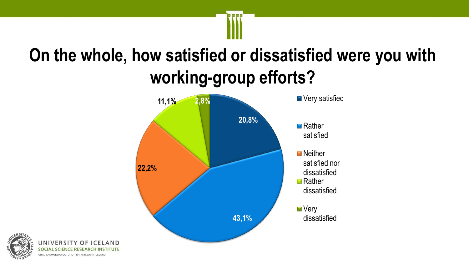# **On the whole, how satisfied or dissatisfied were you with working-group efforts?**





AND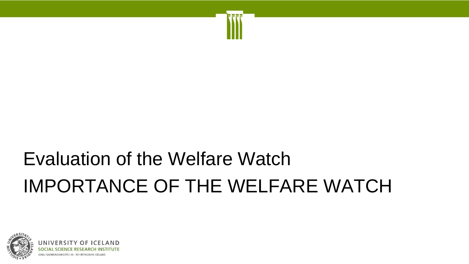# Evaluation of the Welfare Watch IMPORTANCE OF THE WELFARE WATCH

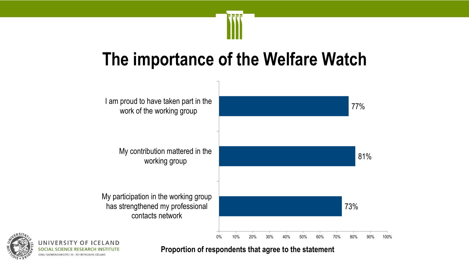

#### **The importance of the Welfare Watch**





**Proportion of respondents that agree to the statement**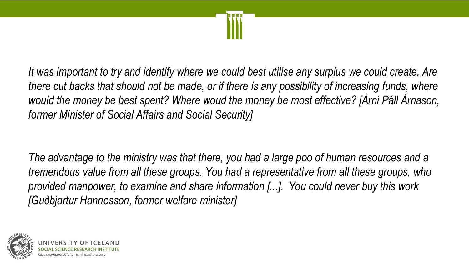

*It was important to try and identify where we could best utilise any surplus we could create. Are there cut backs that should not be made, or if there is any possibility of increasing funds, where would the money be best spent? Where woud the money be most effective? [Árni Páll Árnason, former Minister of Social Affairs and Social Security]*

*The advantage to the ministry was that there, you had a large poo of human resources and a tremendous value from all these groups. You had a representative from all these groups, who provided manpower, to examine and share information [...]. You could never buy this work [Guðbjartur Hannesson, former welfare minister]*

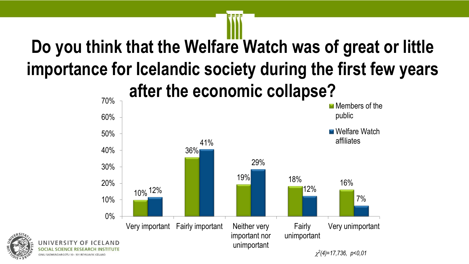# **Do you think that the Welfare Watch was of great or little importance for Icelandic society during the first few years**

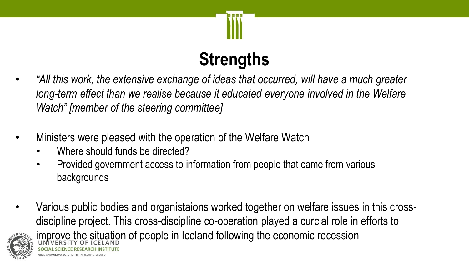

# **Strengths**

- *"All this work, the extensive exchange of ideas that occurred, will have a much greater long-term effect than we realise because it educated everyone involved in the Welfare Watch" [member of the steering committee]*
- Ministers were pleased with the operation of the Welfare Watch
	- Where should funds be directed?
	- Provided government access to information from people that came from various backgrounds
- Various public bodies and organistaions worked together on welfare issues in this crossdiscipline project. This cross-discipline co-operation played a curcial role in efforts to improve the situation of people in Iceland following the economic recession

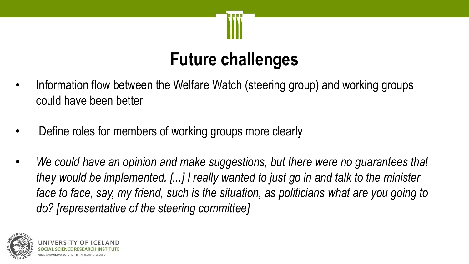

### **Future challenges**

- Information flow between the Welfare Watch (steering group) and working groups could have been better
- Define roles for members of working groups more clearly
- We could have an opinion and make suggestions, but there were no guarantees that *they would be implemented. [...] I really wanted to just go in and talk to the minister*  face to face, say, my friend, such is the situation, as politicians what are you going to *do? [representative of the steering committee]*

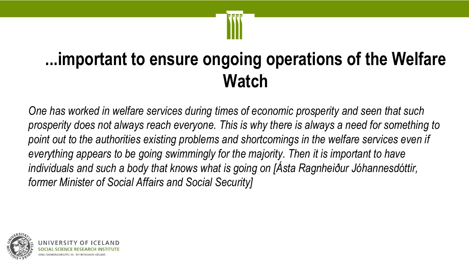

## **...important to ensure ongoing operations of the Welfare Watch**

*One has worked in welfare services during times of economic prosperity and seen that such prosperity does not always reach everyone. This is why there is always a need for something to*  point out to the authorities existing problems and shortcomings in the welfare services even if *everything appears to be going swimmingly for the majority. Then it is important to have individuals and such a body that knows what is going on [Ásta Ragnheiður Jóhannesdóttir, former Minister of Social Affairs and Social Security]*